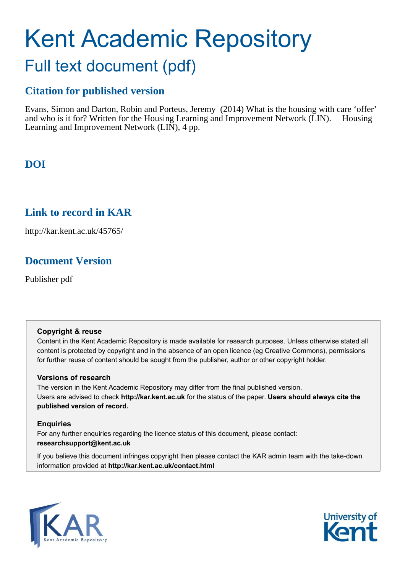# Kent Academic Repository

### Full text document (pdf)

#### **Citation for published version**

Evans, Simon and Darton, Robin and Porteus, Jeremy (2014) What is the housing with care 'offer' and who is it for? Written for the Housing Learning and Improvement Network (LIN). Housing Learning and Improvement Network (LIN), 4 pp.

#### **DOI**

#### **Link to record in KAR**

http://kar.kent.ac.uk/45765/

#### **Document Version**

Publisher pdf

#### **Copyright & reuse**

Content in the Kent Academic Repository is made available for research purposes. Unless otherwise stated all content is protected by copyright and in the absence of an open licence (eg Creative Commons), permissions for further reuse of content should be sought from the publisher, author or other copyright holder.

#### **Versions of research**

The version in the Kent Academic Repository may differ from the final published version. Users are advised to check **http://kar.kent.ac.uk** for the status of the paper. **Users should always cite the published version of record.**

#### **Enquiries**

For any further enquiries regarding the licence status of this document, please contact: **researchsupport@kent.ac.uk**

If you believe this document infringes copyright then please contact the KAR admin team with the take-down information provided at **http://kar.kent.ac.uk/contact.html**



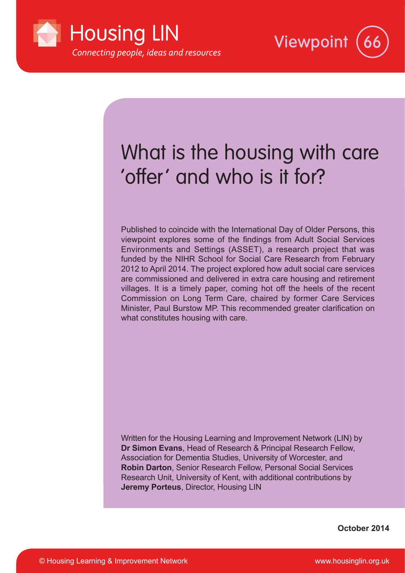



## What is the housing with care 'offer' and who is it for?

Published to coincide with the International Day of Older Persons, this viewpoint explores some of the indings from Adult Social Services Environments and Settings (ASSET), a research project that was funded by the NIHR School for Social Care Research from February 2012 to April 2014. The project explored how adult social care services are commissioned and delivered in extra care housing and retirement villages. It is a timely paper, coming hot off the heels of the recent Commission on Long Term Care, chaired by former Care Services Minister, Paul Burstow MP. This recommended greater clarification on what constitutes housing with care.

Written for the Housing Learning and Improvement Network (LIN) by **Dr Simon Evans**, Head of Research & Principal Research Fellow, Association for Dementia Studies, University of Worcester, and **Robin Darton**, Senior Research Fellow, Personal Social Services Research Unit, University of Kent, with additional contributions by **Jeremy Porteus**, Director, Housing LIN

**October 2014**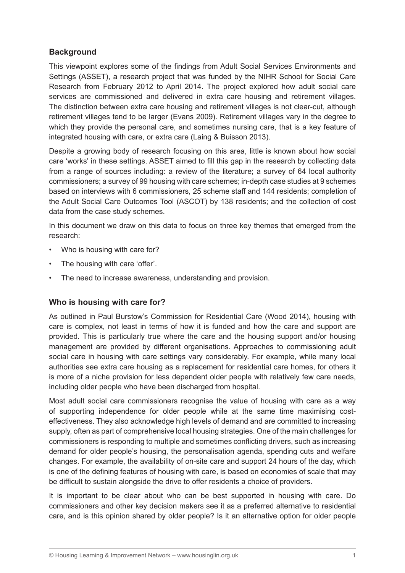#### **Background**

This viewpoint explores some of the indings from Adult Social Services Environments and Settings (ASSET), a research project that was funded by the NIHR School for Social Care Research from February 2012 to April 2014. The project explored how adult social care services are commissioned and delivered in extra care housing and retirement villages. The distinction between extra care housing and retirement villages is not clear-cut, although retirement villages tend to be larger (Evans 2009). Retirement villages vary in the degree to which they provide the personal care, and sometimes nursing care, that is a key feature of integrated housing with care, or extra care (Laing & Buisson 2013).

Despite a growing body of research focusing on this area, little is known about how social care 'works' in these settings. ASSET aimed to fill this gap in the research by collecting data from a range of sources including: a review of the literature; a survey of 64 local authority commissioners; a survey of 99 housing with care schemes; in-depth case studies at 9 schemes based on interviews with 6 commissioners, 25 scheme staff and 144 residents; completion of the Adult Social Care Outcomes Tool (ASCOT) by 138 residents; and the collection of cost data from the case study schemes.

In this document we draw on this data to focus on three key themes that emerged from the research:

- Who is housing with care for?
- The housing with care 'offer'.
- The need to increase awareness, understanding and provision.

#### **Who is housing with care for?**

As outlined in Paul Burstow's Commission for Residential Care (Wood 2014), housing with care is complex, not least in terms of how it is funded and how the care and support are provided. This is particularly true where the care and the housing support and/or housing management are provided by different organisations. Approaches to commissioning adult social care in housing with care settings vary considerably. For example, while many local authorities see extra care housing as a replacement for residential care homes, for others it is more of a niche provision for less dependent older people with relatively few care needs, including older people who have been discharged from hospital.

Most adult social care commissioners recognise the value of housing with care as a way of supporting independence for older people while at the same time maximising costeffectiveness. They also acknowledge high levels of demand and are committed to increasing supply, often as part of comprehensive local housing strategies. One of the main challenges for commissioners is responding to multiple and sometimes conflicting drivers, such as increasing demand for older people's housing, the personalisation agenda, spending cuts and welfare changes. For example, the availability of on-site care and support 24 hours of the day, which is one of the defining features of housing with care, is based on economies of scale that may be dificult to sustain alongside the drive to offer residents a choice of providers.

It is important to be clear about who can be best supported in housing with care. Do commissioners and other key decision makers see it as a preferred alternative to residential care, and is this opinion shared by older people? Is it an alternative option for older people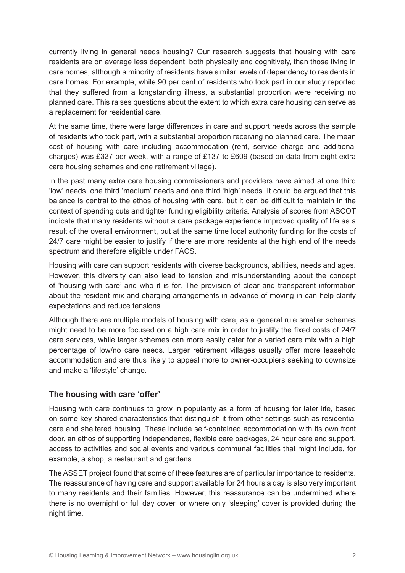currently living in general needs housing? Our research suggests that housing with care residents are on average less dependent, both physically and cognitively, than those living in care homes, although a minority of residents have similar levels of dependency to residents in care homes. For example, while 90 per cent of residents who took part in our study reported that they suffered from a longstanding illness, a substantial proportion were receiving no planned care. This raises questions about the extent to which extra care housing can serve as a replacement for residential care.

At the same time, there were large differences in care and support needs across the sample of residents who took part, with a substantial proportion receiving no planned care. The mean cost of housing with care including accommodation (rent, service charge and additional charges) was £327 per week, with a range of £137 to £609 (based on data from eight extra care housing schemes and one retirement village).

In the past many extra care housing commissioners and providers have aimed at one third 'low' needs, one third 'medium' needs and one third 'high' needs. It could be argued that this balance is central to the ethos of housing with care, but it can be dificult to maintain in the context of spending cuts and tighter funding eligibility criteria. Analysis of scores from ASCOT indicate that many residents without a care package experience improved quality of life as a result of the overall environment, but at the same time local authority funding for the costs of 24/7 care might be easier to justify if there are more residents at the high end of the needs spectrum and therefore eligible under FACS.

Housing with care can support residents with diverse backgrounds, abilities, needs and ages. However, this diversity can also lead to tension and misunderstanding about the concept of 'housing with care' and who it is for. The provision of clear and transparent information about the resident mix and charging arrangements in advance of moving in can help clarify expectations and reduce tensions.

Although there are multiple models of housing with care, as a general rule smaller schemes might need to be more focused on a high care mix in order to justify the ixed costs of 24/7 care services, while larger schemes can more easily cater for a varied care mix with a high percentage of low/no care needs. Larger retirement villages usually offer more leasehold accommodation and are thus likely to appeal more to owner-occupiers seeking to downsize and make a 'lifestyle' change.

#### The housing with care 'offer'

Housing with care continues to grow in popularity as a form of housing for later life, based on some key shared characteristics that distinguish it from other settings such as residential care and sheltered housing. These include self-contained accommodation with its own front door, an ethos of supporting independence, lexible care packages, 24 hour care and support, access to activities and social events and various communal facilities that might include, for example, a shop, a restaurant and gardens.

The ASSET project found that some of these features are of particular importance to residents. The reassurance of having care and support available for 24 hours a day is also very important to many residents and their families. However, this reassurance can be undermined where there is no overnight or full day cover, or where only 'sleeping' cover is provided during the night time.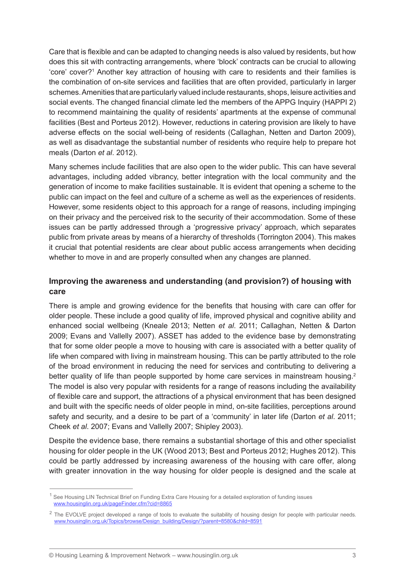Care that is flexible and can be adapted to changing needs is also valued by residents, but how does this sit with contracting arrangements, where 'block' contracts can be crucial to allowing 'core' cover?<sup>1</sup> Another key attraction of housing with care to residents and their families is the combination of on-site services and facilities that are often provided, particularly in larger schemes. Amenities that are particularly valued include restaurants, shops, leisure activities and social events. The changed financial climate led the members of the APPG Inquiry (HAPPI 2) to recommend maintaining the quality of residents' apartments at the expense of communal facilities (Best and Porteus 2012). However, reductions in catering provision are likely to have adverse effects on the social well-being of residents (Callaghan, Netten and Darton 2009), as well as disadvantage the substantial number of residents who require help to prepare hot meals (Darton *et al*. 2012).

Many schemes include facilities that are also open to the wider public. This can have several advantages, including added vibrancy, better integration with the local community and the generation of income to make facilities sustainable. It is evident that opening a scheme to the public can impact on the feel and culture of a scheme as well as the experiences of residents. However, some residents object to this approach for a range of reasons, including impinging on their privacy and the perceived risk to the security of their accommodation. Some of these issues can be partly addressed through a 'progressive privacy' approach, which separates public from private areas by means of a hierarchy of thresholds (Torrington 2004). This makes it crucial that potential residents are clear about public access arrangements when deciding whether to move in and are properly consulted when any changes are planned.

#### **Improving the awareness and understanding (and provision?) of housing with care**

There is ample and growing evidence for the benefits that housing with care can offer for older people. These include a good quality of life, improved physical and cognitive ability and enhanced social wellbeing (Kneale 2013; Netten *et al*. 2011; Callaghan, Netten & Darton 2009; Evans and Vallelly 2007). ASSET has added to the evidence base by demonstrating that for some older people a move to housing with care is associated with a better quality of life when compared with living in mainstream housing. This can be partly attributed to the role of the broad environment in reducing the need for services and contributing to delivering a better quality of life than people supported by home care services in mainstream housing.<sup>2</sup> The model is also very popular with residents for a range of reasons including the availability of lexible care and support, the attractions of a physical environment that has been designed and built with the speciic needs of older people in mind, on-site facilities, perceptions around safety and security, and a desire to be part of a 'community' in later life (Darton *et al*. 2011; Cheek *et al*. 2007; Evans and Vallelly 2007; Shipley 2003).

Despite the evidence base, there remains a substantial shortage of this and other specialist housing for older people in the UK (Wood 2013; Best and Porteus 2012; Hughes 2012). This could be partly addressed by increasing awareness of the housing with care offer, along with greater innovation in the way housing for older people is designed and the scale at

<sup>&</sup>lt;sup>1</sup> See Housing LIN Technical Brief on Funding Extra Care Housing for a detailed exploration of funding issues www.housinglin.org.uk/pageFinder.cfm?cid=8865

 $2$  The EVOLVE project developed a range of tools to evaluate the suitability of housing design for people with particular needs. www.housinglin.org.uk/Topics/browse/Design\_building/Design/?parent=8580&child=8591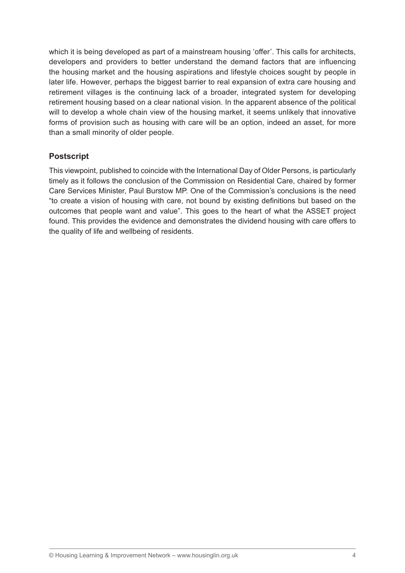which it is being developed as part of a mainstream housing 'offer'. This calls for architects, developers and providers to better understand the demand factors that are influencing the housing market and the housing aspirations and lifestyle choices sought by people in later life. However, perhaps the biggest barrier to real expansion of extra care housing and retirement villages is the continuing lack of a broader, integrated system for developing retirement housing based on a clear national vision. In the apparent absence of the political will to develop a whole chain view of the housing market, it seems unlikely that innovative forms of provision such as housing with care will be an option, indeed an asset, for more than a small minority of older people.

#### **Postscript**

This viewpoint, published to coincide with the International Day of Older Persons, is particularly timely as it follows the conclusion of the Commission on Residential Care, chaired by former Care Services Minister, Paul Burstow MP. One of the Commission's conclusions is the need "to create a vision of housing with care, not bound by existing deinitions but based on the outcomes that people want and value". This goes to the heart of what the ASSET project found. This provides the evidence and demonstrates the dividend housing with care offers to the quality of life and wellbeing of residents.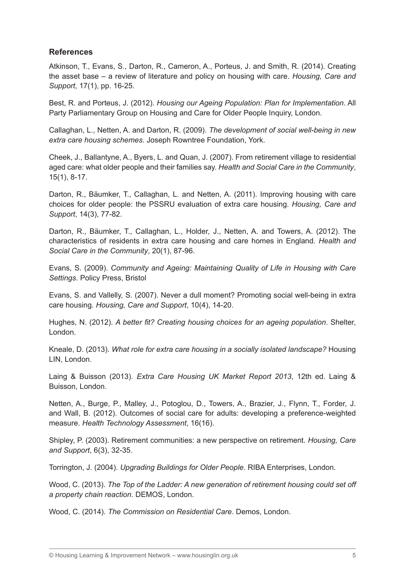#### **References**

Atkinson, T., Evans, S., Darton, R., Cameron, A., Porteus, J. and Smith, R. (2014). Creating the asset base – a review of literature and policy on housing with care. *Housing, Care and Support*, 17(1), pp. 16-25.

Best, R. and Porteus, J. (2012). *Housing our Ageing Population: Plan for Implementation*. All Party Parliamentary Group on Housing and Care for Older People Inquiry, London.

Callaghan, L., Netten, A. and Darton, R. (2009). *The development of social well-being in new extra care housing schemes*. Joseph Rowntree Foundation, York.

Cheek, J., Ballantyne, A., Byers, L. and Quan, J. (2007). From retirement village to residential aged care: what older people and their families say. *Health and Social Care in the Community*, 15(1), 8-17.

Darton, R., Bäumker, T., Callaghan, L. and Netten, A. (2011). Improving housing with care choices for older people: the PSSRU evaluation of extra care housing. *Housing, Care and Support*, 14(3), 77-82.

Darton, R., Bäumker, T., Callaghan, L., Holder, J., Netten, A. and Towers, A. (2012). The characteristics of residents in extra care housing and care homes in England. *Health and Social Care in the Community*, 20(1), 87-96.

Evans, S. (2009). *Community and Ageing: Maintaining Quality of Life in Housing with Care Settings*. Policy Press, Bristol

Evans, S. and Vallelly, S. (2007). Never a dull moment? Promoting social well-being in extra care housing. *Housing, Care and Support*, 10(4), 14-20.

Hughes, N. (2012). *A better it? Creating housing choices for an ageing population*. Shelter, London.

Kneale, D. (2013). *What role for extra care housing in a socially isolated landscape?* Housing LIN, London.

Laing & Buisson (2013). *Extra Care Housing UK Market Report 2013*, 12th ed. Laing & Buisson, London.

Netten, A., Burge, P., Malley, J., Potoglou, D., Towers, A., Brazier, J., Flynn, T., Forder, J. and Wall, B. (2012). Outcomes of social care for adults: developing a preference-weighted measure. *Health Technology Assessment*, 16(16).

Shipley, P. (2003). Retirement communities: a new perspective on retirement. *Housing, Care and Support*, 6(3), 32-35.

Torrington, J. (2004). *Upgrading Buildings for Older People*. RIBA Enterprises, London.

Wood, C. (2013). *The Top of the Ladder: A new generation of retirement housing could set off a property chain reaction*. DEMOS, London.

Wood, C. (2014). *The Commission on Residential Care*. Demos, London.